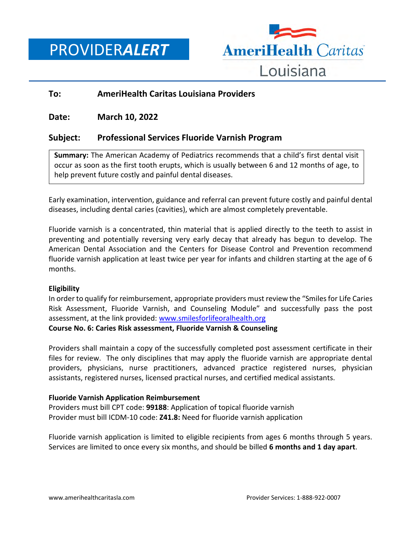PROVIDER*ALERT*



# **To: AmeriHealth Caritas Louisiana Providers**

# **Date: March 10, 2022**

# **Subject: Professional Services Fluoride Varnish Program**

**Summary:** The American Academy of Pediatrics recommends that a child's first dental visit occur as soon as the first tooth erupts, which is usually between 6 and 12 months of age, to help prevent future costly and painful dental diseases.

Early examination, intervention, guidance and referral can prevent future costly and painful dental diseases, including dental caries (cavities), which are almost completely preventable.

Fluoride varnish is a concentrated, thin material that is applied directly to the teeth to assist in preventing and potentially reversing very early decay that already has begun to develop. The American Dental Association and the Centers for Disease Control and Prevention recommend fluoride varnish application at least twice per year for infants and children starting at the age of 6 months.

### **Eligibility**

In order to qualify for reimbursement, appropriate providers must review the "Smiles for Life Caries Risk Assessment, Fluoride Varnish, and Counseling Module" and successfully pass the post assessment, at the link provided: [www.smilesforlifeoralhealth.org](file://///nasfsu01/LAusers/kf20871/My%20Documents/www.smilesforlifeoralhealth.org)

### **Course No. 6: Caries Risk assessment, Fluoride Varnish & Counseling**

Providers shall maintain a copy of the successfully completed post assessment certificate in their files for review. The only disciplines that may apply the fluoride varnish are appropriate dental providers, physicians, nurse practitioners, advanced practice registered nurses, physician assistants, registered nurses, licensed practical nurses, and certified medical assistants.

### **Fluoride Varnish Application Reimbursement**

Providers must bill CPT code: **99188**: Application of topical fluoride varnish Provider must bill ICDM-10 code: **Z41.8:** Need for fluoride varnish application

Fluoride varnish application is limited to eligible recipients from ages 6 months through 5 years. Services are limited to once every six months, and should be billed **6 months and 1 day apart**.